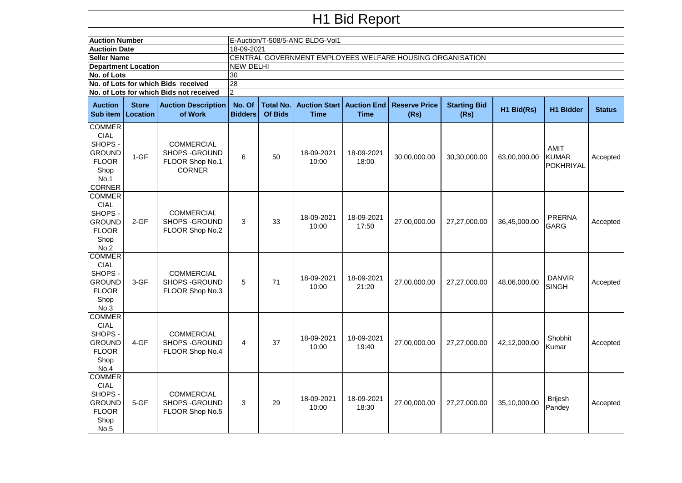## H1 Bid Report

|                                                                                                    | <b>Auction Number</b><br><b>Auctioin Date</b> |                                                                                |                                                                         | E-Auction/T-508/5-ANC BLDG-Vol1 |                                     |                                   |                              |                             |              |                                                 |               |  |  |  |  |
|----------------------------------------------------------------------------------------------------|-----------------------------------------------|--------------------------------------------------------------------------------|-------------------------------------------------------------------------|---------------------------------|-------------------------------------|-----------------------------------|------------------------------|-----------------------------|--------------|-------------------------------------------------|---------------|--|--|--|--|
| <b>Seller Name</b>                                                                                 |                                               |                                                                                | 18-09-2021<br>CENTRAL GOVERNMENT EMPLOYEES WELFARE HOUSING ORGANISATION |                                 |                                     |                                   |                              |                             |              |                                                 |               |  |  |  |  |
| <b>Department Location</b>                                                                         |                                               |                                                                                | <b>NEW DELHI</b>                                                        |                                 |                                     |                                   |                              |                             |              |                                                 |               |  |  |  |  |
|                                                                                                    |                                               |                                                                                |                                                                         |                                 |                                     |                                   |                              |                             |              |                                                 |               |  |  |  |  |
| No. of Lots                                                                                        |                                               |                                                                                | 30<br>28                                                                |                                 |                                     |                                   |                              |                             |              |                                                 |               |  |  |  |  |
| No. of Lots for which Bids received<br>No. of Lots for which Bids not received                     |                                               |                                                                                |                                                                         |                                 |                                     |                                   |                              |                             |              |                                                 |               |  |  |  |  |
|                                                                                                    |                                               |                                                                                | $\overline{2}$                                                          |                                 |                                     |                                   |                              |                             |              |                                                 |               |  |  |  |  |
| <b>Auction</b><br>Sub item                                                                         | <b>Store</b><br><b>Location</b>               | <b>Auction Description</b><br>of Work                                          | No. Of<br><b>Bidders</b>                                                | <b>Total No.</b><br>Of Bids     | <b>Auction Start</b><br><b>Time</b> | <b>Auction End</b><br><b>Time</b> | <b>Reserve Price</b><br>(Rs) | <b>Starting Bid</b><br>(Rs) | H1 Bid(Rs)   | <b>H1 Bidder</b>                                | <b>Status</b> |  |  |  |  |
| <b>COMMER</b><br><b>CIAL</b><br>SHOPS -<br><b>GROUND</b><br><b>FLOOR</b><br>Shop<br>No.1<br>CORNER | $1-GF$                                        | <b>COMMERCIAL</b><br><b>SHOPS - GROUND</b><br>FLOOR Shop No.1<br><b>CORNER</b> | 6                                                                       | 50                              | 18-09-2021<br>10:00                 | 18-09-2021<br>18:00               | 30,00,000.00                 | 30,30,000.00                | 63,00,000.00 | <b>AMIT</b><br><b>KUMAR</b><br><b>POKHRIYAL</b> | Accepted      |  |  |  |  |
| <b>COMMER</b><br><b>CIAL</b><br>SHOPS -<br><b>GROUND</b><br><b>FLOOR</b><br>Shop<br>No.2           | $2-GF$                                        | COMMERCIAL<br><b>SHOPS - GROUND</b><br>FLOOR Shop No.2                         | 3                                                                       | 33                              | 18-09-2021<br>10:00                 | 18-09-2021<br>17:50               | 27,00,000.00                 | 27,27,000.00                | 36,45,000.00 | <b>PRERNA</b><br><b>GARG</b>                    | Accepted      |  |  |  |  |
| <b>COMMER</b><br><b>CIAL</b><br>SHOPS-<br><b>GROUND</b><br><b>FLOOR</b><br>Shop<br>No.3            | 3-GF                                          | <b>COMMERCIAL</b><br>SHOPS - GROUND<br>FLOOR Shop No.3                         | 5                                                                       | 71                              | 18-09-2021<br>10:00                 | 18-09-2021<br>21:20               | 27,00,000.00                 | 27,27,000.00                | 48,06,000.00 | <b>DANVIR</b><br><b>SINGH</b>                   | Accepted      |  |  |  |  |
| <b>COMMER</b><br><b>CIAL</b><br>SHOPS -<br><b>GROUND</b><br><b>FLOOR</b><br>Shop<br>No.4           | $4 - GF$                                      | <b>COMMERCIAL</b><br><b>SHOPS - GROUND</b><br>FLOOR Shop No.4                  | 4                                                                       | 37                              | 18-09-2021<br>10:00                 | 18-09-2021<br>19:40               | 27,00,000.00                 | 27,27,000.00                | 42.12.000.00 | Shobhit<br>Kumar                                | Accepted      |  |  |  |  |
| <b>COMMER</b><br><b>CIAL</b><br>SHOPS -<br><b>GROUND</b><br><b>FLOOR</b><br>Shop<br>No.5           | $5-GF$                                        | <b>COMMERCIAL</b><br>SHOPS - GROUND<br>FLOOR Shop No.5                         | 3                                                                       | 29                              | 18-09-2021<br>10:00                 | 18-09-2021<br>18:30               | 27,00,000.00                 | 27,27,000.00                | 35,10,000.00 | <b>Brijesh</b><br>Pandey                        | Accepted      |  |  |  |  |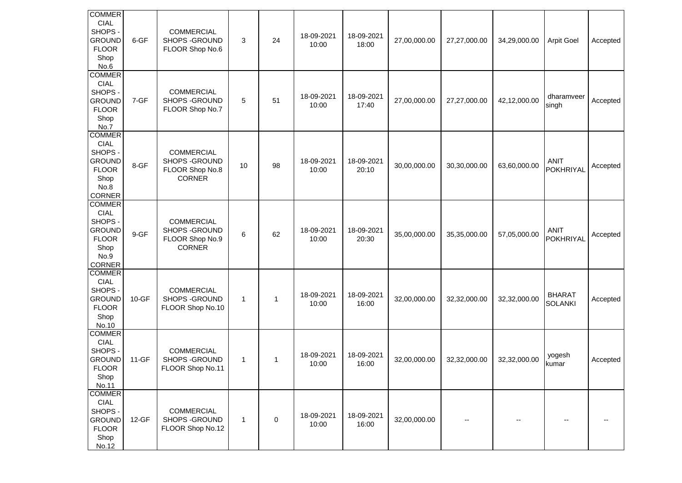| <b>COMMER</b><br><b>CIAL</b><br>SHOPS -<br><b>GROUND</b><br><b>FLOOR</b><br>Shop<br>No.6                  | 6-GF      | <b>COMMERCIAL</b><br>SHOPS - GROUND<br>FLOOR Shop No.6                  | 3            | 24 | 18-09-2021<br>10:00 | 18-09-2021<br>18:00 | 27,00,000.00 | 27,27,000.00             | 34,29,000.00 | <b>Arpit Goel</b>               | Accepted |
|-----------------------------------------------------------------------------------------------------------|-----------|-------------------------------------------------------------------------|--------------|----|---------------------|---------------------|--------------|--------------------------|--------------|---------------------------------|----------|
| <b>COMMER</b><br><b>CIAL</b><br>SHOPS -<br><b>GROUND</b><br><b>FLOOR</b><br>Shop<br>No.7                  | 7-GF      | <b>COMMERCIAL</b><br>SHOPS - GROUND<br>FLOOR Shop No.7                  | 5            | 51 | 18-09-2021<br>10:00 | 18-09-2021<br>17:40 | 27,00,000.00 | 27,27,000.00             | 42,12,000.00 | dharamveer<br>singh             | Accepted |
| <b>COMMER</b><br><b>CIAL</b><br>SHOPS -<br><b>GROUND</b><br><b>FLOOR</b><br>Shop<br>No.8<br><b>CORNER</b> | 8-GF      | <b>COMMERCIAL</b><br>SHOPS - GROUND<br>FLOOR Shop No.8<br><b>CORNER</b> | 10           | 98 | 18-09-2021<br>10:00 | 18-09-2021<br>20:10 | 30,00,000.00 | 30,30,000.00             | 63,60,000.00 | <b>ANIT</b><br>POKHRIYAL        | Accepted |
| <b>COMMER</b><br><b>CIAL</b><br>SHOPS -<br><b>GROUND</b><br><b>FLOOR</b><br>Shop<br>No.9<br>CORNER        | 9-GF      | <b>COMMERCIAL</b><br>SHOPS - GROUND<br>FLOOR Shop No.9<br><b>CORNER</b> | 6            | 62 | 18-09-2021<br>10:00 | 18-09-2021<br>20:30 | 35,00,000.00 | 35,35,000.00             | 57,05,000.00 | <b>ANIT</b><br>POKHRIYAL        | Accepted |
| <b>COMMER</b><br><b>CIAL</b><br>SHOPS-<br><b>GROUND</b><br><b>FLOOR</b><br>Shop<br>No.10                  | $10 - GF$ | <b>COMMERCIAL</b><br>SHOPS - GROUND<br>FLOOR Shop No.10                 | $\mathbf{1}$ | 1  | 18-09-2021<br>10:00 | 18-09-2021<br>16:00 | 32,00,000.00 | 32,32,000.00             | 32,32,000.00 | <b>BHARAT</b><br><b>SOLANKI</b> | Accepted |
| <b>COMMER</b><br><b>CIAL</b><br>SHOPS -<br><b>GROUND</b><br><b>FLOOR</b><br>Shop<br>No.11                 | $11-GF$   | <b>COMMERCIAL</b><br>SHOPS - GROUND<br>FLOOR Shop No.11                 | $\mathbf{1}$ | 1  | 18-09-2021<br>10:00 | 18-09-2021<br>16:00 | 32,00,000.00 | 32,32,000.00             | 32,32,000.00 | yogesh<br>kumar                 | Accepted |
| <b>COMMER</b><br>CIAL<br>SHOPS -<br><b>GROUND</b><br><b>FLOOR</b><br>Shop<br>No.12                        | $12-GF$   | <b>COMMERCIAL</b><br>SHOPS - GROUND<br>FLOOR Shop No.12                 | $\mathbf{1}$ | 0  | 18-09-2021<br>10:00 | 18-09-2021<br>16:00 | 32,00,000.00 | $\overline{\phantom{a}}$ | $-$          |                                 |          |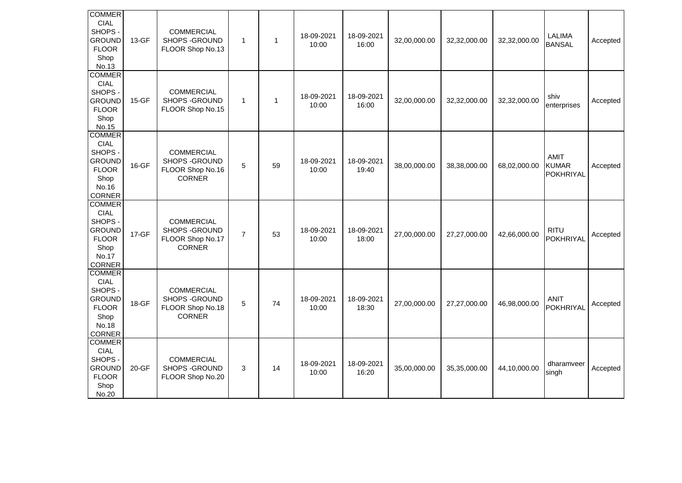| <b>COMMER</b><br><b>CIAL</b><br>SHOPS -<br><b>GROUND</b><br><b>FLOOR</b><br>Shop<br>No.13                  | 13-GF | <b>COMMERCIAL</b><br>SHOPS - GROUND<br>FLOOR Shop No.13                  | $\mathbf{1}$   | $\mathbf{1}$ | 18-09-2021<br>10:00 | 18-09-2021<br>16:00 | 32,00,000.00 | 32,32,000.00 | 32,32,000.00 | LALIMA<br><b>BANSAL</b>                  | Accepted |
|------------------------------------------------------------------------------------------------------------|-------|--------------------------------------------------------------------------|----------------|--------------|---------------------|---------------------|--------------|--------------|--------------|------------------------------------------|----------|
| <b>COMMER</b><br><b>CIAL</b><br>SHOPS -<br><b>GROUND</b><br><b>FLOOR</b><br>Shop<br>No.15                  | 15-GF | <b>COMMERCIAL</b><br>SHOPS - GROUND<br>FLOOR Shop No.15                  | $\mathbf{1}$   | $\mathbf{1}$ | 18-09-2021<br>10:00 | 18-09-2021<br>16:00 | 32,00,000.00 | 32,32,000.00 | 32,32,000.00 | shiv<br>enterprises                      | Accepted |
| <b>COMMER</b><br><b>CIAL</b><br>SHOPS -<br><b>GROUND</b><br><b>FLOOR</b><br>Shop<br>No.16<br>CORNER        | 16-GF | <b>COMMERCIAL</b><br>SHOPS - GROUND<br>FLOOR Shop No.16<br><b>CORNER</b> | 5              | 59           | 18-09-2021<br>10:00 | 18-09-2021<br>19:40 | 38,00,000.00 | 38,38,000.00 | 68,02,000.00 | AMIT<br><b>KUMAR</b><br><b>POKHRIYAL</b> | Accepted |
| <b>COMMER</b><br><b>CIAL</b><br>SHOPS -<br><b>GROUND</b><br><b>FLOOR</b><br>Shop<br>No.17<br><b>CORNER</b> | 17-GF | <b>COMMERCIAL</b><br>SHOPS - GROUND<br>FLOOR Shop No.17<br><b>CORNER</b> | $\overline{7}$ | 53           | 18-09-2021<br>10:00 | 18-09-2021<br>18:00 | 27,00,000.00 | 27,27,000.00 | 42,66,000.00 | <b>RITU</b><br><b>POKHRIYAL</b>          | Accepted |
| <b>COMMER</b><br><b>CIAL</b><br>SHOPS -<br><b>GROUND</b><br><b>FLOOR</b><br>Shop<br>No.18<br><b>CORNER</b> | 18-GF | <b>COMMERCIAL</b><br>SHOPS - GROUND<br>FLOOR Shop No.18<br><b>CORNER</b> | 5              | 74           | 18-09-2021<br>10:00 | 18-09-2021<br>18:30 | 27,00,000.00 | 27,27,000.00 | 46,98,000.00 | <b>ANIT</b><br><b>POKHRIYAL</b>          | Accepted |
| <b>COMMER</b><br><b>CIAL</b><br>SHOPS -<br><b>GROUND</b><br><b>FLOOR</b><br>Shop<br>No.20                  | 20-GF | <b>COMMERCIAL</b><br>SHOPS - GROUND<br>FLOOR Shop No.20                  | 3              | 14           | 18-09-2021<br>10:00 | 18-09-2021<br>16:20 | 35,00,000.00 | 35,35,000.00 | 44,10,000.00 | dharamveer<br>singh                      | Accepted |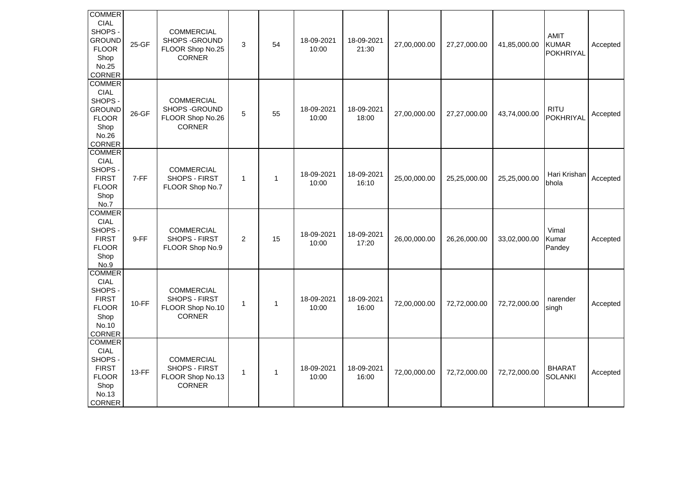| <b>COMMER</b><br><b>CIAL</b><br>SHOPS -<br><b>GROUND</b><br><b>FLOOR</b><br>Shop<br>No.25<br><b>CORNER</b> | 25-GF        | <b>COMMERCIAL</b><br>SHOPS - GROUND<br>FLOOR Shop No.25<br><b>CORNER</b> | 3              | 54           | 18-09-2021<br>10:00 | 18-09-2021<br>21:30 | 27,00,000.00 | 27,27,000.00 | 41,85,000.00 | AMIT<br><b>KUMAR</b><br><b>POKHRIYAL</b> | Accepted |
|------------------------------------------------------------------------------------------------------------|--------------|--------------------------------------------------------------------------|----------------|--------------|---------------------|---------------------|--------------|--------------|--------------|------------------------------------------|----------|
| <b>COMMER</b><br><b>CIAL</b><br>SHOPS -<br><b>GROUND</b><br><b>FLOOR</b><br>Shop<br>No.26<br><b>CORNER</b> | 26-GF        | <b>COMMERCIAL</b><br>SHOPS - GROUND<br>FLOOR Shop No.26<br><b>CORNER</b> | 5              | 55           | 18-09-2021<br>10:00 | 18-09-2021<br>18:00 | 27,00,000.00 | 27,27,000.00 | 43,74,000.00 | <b>RITU</b><br><b>POKHRIYAL</b>          | Accepted |
| <b>COMMER</b><br><b>CIAL</b><br>SHOPS -<br><b>FIRST</b><br><b>FLOOR</b><br>Shop<br>No.7                    | 7-FF         | <b>COMMERCIAL</b><br>SHOPS - FIRST<br>FLOOR Shop No.7                    | $\mathbf{1}$   | $\mathbf{1}$ | 18-09-2021<br>10:00 | 18-09-2021<br>16:10 | 25,00,000.00 | 25,25,000.00 | 25,25,000.00 | Hari Krishan<br>bhola                    | Accepted |
| <b>COMMER</b><br><b>CIAL</b><br>SHOPS -<br><b>FIRST</b><br><b>FLOOR</b><br>Shop<br>No.9                    | 9-FF         | <b>COMMERCIAL</b><br>SHOPS - FIRST<br>FLOOR Shop No.9                    | $\overline{a}$ | 15           | 18-09-2021<br>10:00 | 18-09-2021<br>17:20 | 26,00,000.00 | 26,26,000.00 | 33,02,000.00 | Vimal<br>Kumar<br>Pandey                 | Accepted |
| <b>COMMER</b><br><b>CIAL</b><br>SHOPS -<br><b>FIRST</b><br><b>FLOOR</b><br>Shop<br>No.10<br><b>CORNER</b>  | $10-FF$      | <b>COMMERCIAL</b><br>SHOPS - FIRST<br>FLOOR Shop No.10<br><b>CORNER</b>  | $\mathbf 1$    | $\mathbf{1}$ | 18-09-2021<br>10:00 | 18-09-2021<br>16:00 | 72,00,000.00 | 72,72,000.00 | 72,72,000.00 | narender<br>singh                        | Accepted |
| <b>COMMER</b><br><b>CIAL</b><br>SHOPS -<br><b>FIRST</b><br><b>FLOOR</b><br>Shop<br>No.13<br><b>CORNER</b>  | <b>13-FF</b> | <b>COMMERCIAL</b><br>SHOPS - FIRST<br>FLOOR Shop No.13<br><b>CORNER</b>  | 1              | $\mathbf{1}$ | 18-09-2021<br>10:00 | 18-09-2021<br>16:00 | 72,00,000.00 | 72,72,000.00 | 72,72,000.00 | <b>BHARAT</b><br><b>SOLANKI</b>          | Accepted |